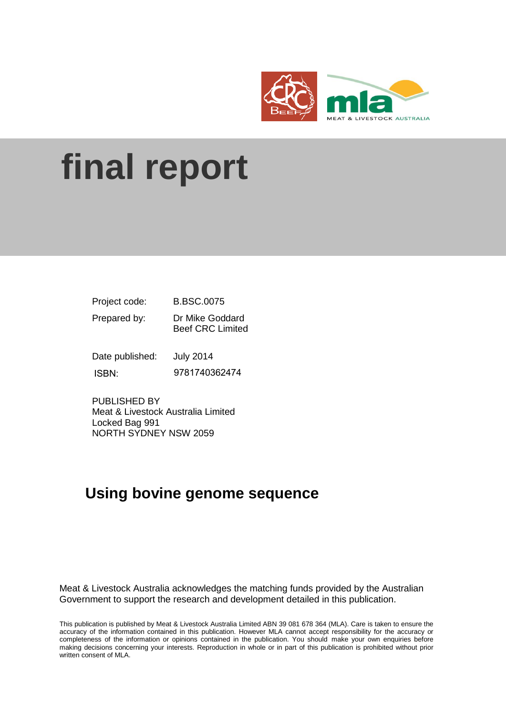

# **final report**

| Project code:   | <b>B.BSC.0075</b>                          |
|-----------------|--------------------------------------------|
| Prepared by:    | Dr Mike Goddard<br><b>Beef CRC Limited</b> |
| Date published: | <b>July 2014</b>                           |

ISBN: 9781740362474

PUBLISHED BY Meat & Livestock Australia Limited Locked Bag 991 NORTH SYDNEY NSW 2059

# **Using bovine genome sequence**

Meat & Livestock Australia acknowledges the matching funds provided by the Australian Government to support the research and development detailed in this publication.

This publication is published by Meat & Livestock Australia Limited ABN 39 081 678 364 (MLA). Care is taken to ensure the accuracy of the information contained in this publication. However MLA cannot accept responsibility for the accuracy or completeness of the information or opinions contained in the publication. You should make your own enquiries before making decisions concerning your interests. Reproduction in whole or in part of this publication is prohibited without prior written consent of MLA.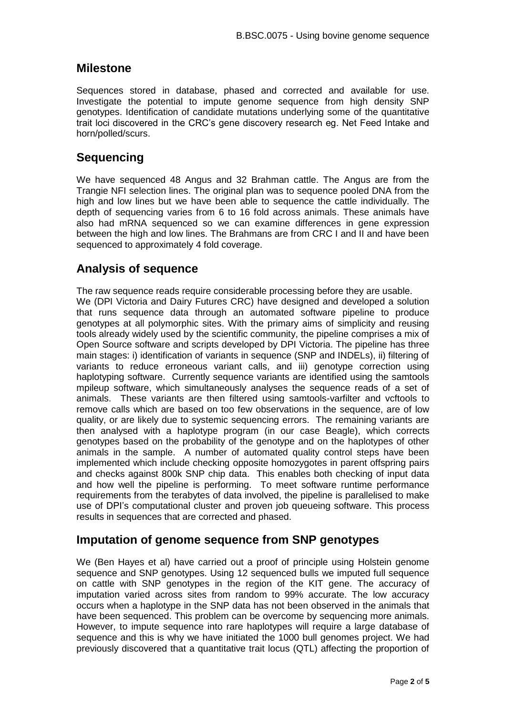#### **Milestone**

Sequences stored in database, phased and corrected and available for use. Investigate the potential to impute genome sequence from high density SNP genotypes. Identification of candidate mutations underlying some of the quantitative trait loci discovered in the CRC's gene discovery research eg. Net Feed Intake and horn/polled/scurs.

### **Sequencing**

We have sequenced 48 Angus and 32 Brahman cattle. The Angus are from the Trangie NFI selection lines. The original plan was to sequence pooled DNA from the high and low lines but we have been able to sequence the cattle individually. The depth of sequencing varies from 6 to 16 fold across animals. These animals have also had mRNA sequenced so we can examine differences in gene expression between the high and low lines. The Brahmans are from CRC I and II and have been sequenced to approximately 4 fold coverage.

## **Analysis of sequence**

The raw sequence reads require considerable processing before they are usable. We (DPI Victoria and Dairy Futures CRC) have designed and developed a solution that runs sequence data through an automated software pipeline to produce genotypes at all polymorphic sites. With the primary aims of simplicity and reusing tools already widely used by the scientific community, the pipeline comprises a mix of Open Source software and scripts developed by DPI Victoria. The pipeline has three main stages: i) identification of variants in sequence (SNP and INDELs), ii) filtering of variants to reduce erroneous variant calls, and iii) genotype correction using haplotyping software. Currently sequence variants are identified using the samtools mpileup software, which simultaneously analyses the sequence reads of a set of animals. These variants are then filtered using samtools-varfilter and vcftools to remove calls which are based on too few observations in the sequence, are of low quality, or are likely due to systemic sequencing errors. The remaining variants are then analysed with a haplotype program (in our case Beagle), which corrects genotypes based on the probability of the genotype and on the haplotypes of other animals in the sample. A number of automated quality control steps have been implemented which include checking opposite homozygotes in parent offspring pairs and checks against 800k SNP chip data. This enables both checking of input data and how well the pipeline is performing. To meet software runtime performance requirements from the terabytes of data involved, the pipeline is parallelised to make use of DPI's computational cluster and proven job queueing software. This process results in sequences that are corrected and phased.

#### **Imputation of genome sequence from SNP genotypes**

We (Ben Hayes et al) have carried out a proof of principle using Holstein genome sequence and SNP genotypes. Using 12 sequenced bulls we imputed full sequence on cattle with SNP genotypes in the region of the KIT gene. The accuracy of imputation varied across sites from random to 99% accurate. The low accuracy occurs when a haplotype in the SNP data has not been observed in the animals that have been sequenced. This problem can be overcome by sequencing more animals. However, to impute sequence into rare haplotypes will require a large database of sequence and this is why we have initiated the 1000 bull genomes project. We had previously discovered that a quantitative trait locus (QTL) affecting the proportion of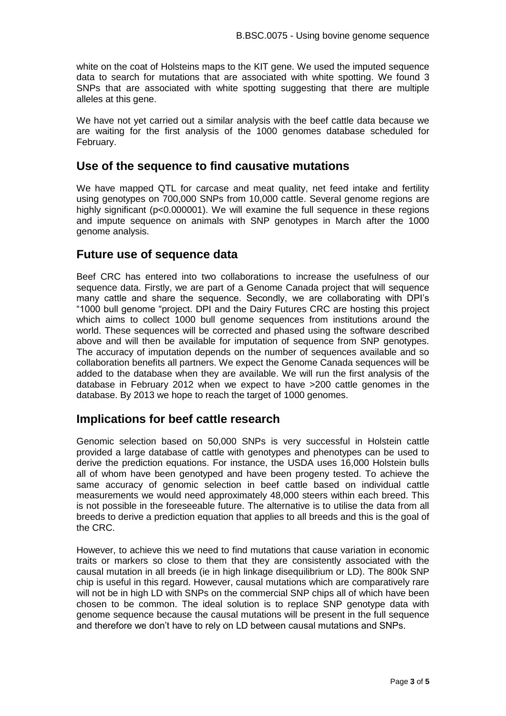white on the coat of Holsteins maps to the KIT gene. We used the imputed sequence data to search for mutations that are associated with white spotting. We found 3 SNPs that are associated with white spotting suggesting that there are multiple alleles at this gene.

We have not yet carried out a similar analysis with the beef cattle data because we are waiting for the first analysis of the 1000 genomes database scheduled for February.

#### **Use of the sequence to find causative mutations**

We have mapped QTL for carcase and meat quality, net feed intake and fertility using genotypes on 700,000 SNPs from 10,000 cattle. Several genome regions are highly significant (p<0.000001). We will examine the full sequence in these regions and impute sequence on animals with SNP genotypes in March after the 1000 genome analysis.

#### **Future use of sequence data**

Beef CRC has entered into two collaborations to increase the usefulness of our sequence data. Firstly, we are part of a Genome Canada project that will sequence many cattle and share the sequence. Secondly, we are collaborating with DPI's "1000 bull genome "project. DPI and the Dairy Futures CRC are hosting this project which aims to collect 1000 bull genome sequences from institutions around the world. These sequences will be corrected and phased using the software described above and will then be available for imputation of sequence from SNP genotypes. The accuracy of imputation depends on the number of sequences available and so collaboration benefits all partners. We expect the Genome Canada sequences will be added to the database when they are available. We will run the first analysis of the database in February 2012 when we expect to have >200 cattle genomes in the database. By 2013 we hope to reach the target of 1000 genomes.

#### **Implications for beef cattle research**

Genomic selection based on 50,000 SNPs is very successful in Holstein cattle provided a large database of cattle with genotypes and phenotypes can be used to derive the prediction equations. For instance, the USDA uses 16,000 Holstein bulls all of whom have been genotyped and have been progeny tested. To achieve the same accuracy of genomic selection in beef cattle based on individual cattle measurements we would need approximately 48,000 steers within each breed. This is not possible in the foreseeable future. The alternative is to utilise the data from all breeds to derive a prediction equation that applies to all breeds and this is the goal of the CRC.

However, to achieve this we need to find mutations that cause variation in economic traits or markers so close to them that they are consistently associated with the causal mutation in all breeds (ie in high linkage disequilibrium or LD). The 800k SNP chip is useful in this regard. However, causal mutations which are comparatively rare will not be in high LD with SNPs on the commercial SNP chips all of which have been chosen to be common. The ideal solution is to replace SNP genotype data with genome sequence because the causal mutations will be present in the full sequence and therefore we don't have to rely on LD between causal mutations and SNPs.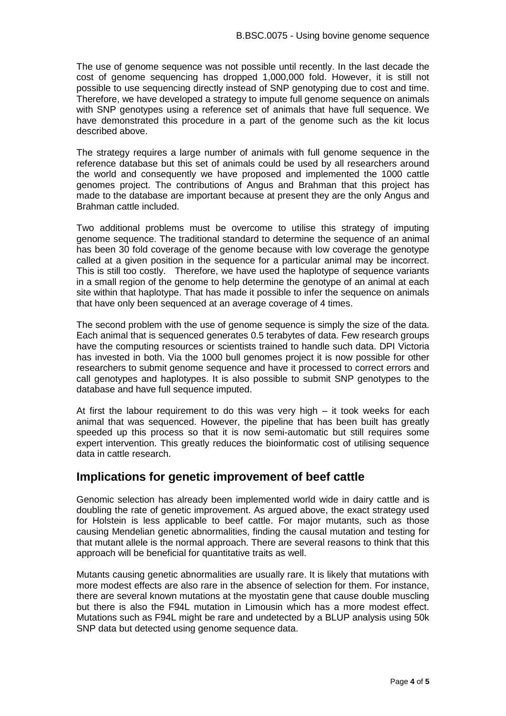The use of genome sequence was not possible until recently. In the last decade the cost of genome sequencing has dropped 1,000,000 fold. However, it is still not possible to use sequencing directly instead of SNP genotyping due to cost and time. Therefore, we have developed a strategy to impute full genome sequence on animals with SNP genotypes using a reference set of animals that have full sequence. We have demonstrated this procedure in a part of the genome such as the kit locus described above.

The strategy requires a large number of animals with full genome sequence in the reference database but this set of animals could be used by all researchers around the world and consequently we have proposed and implemented the 1000 cattle genomes project. The contributions of Angus and Brahman that this project has made to the database are important because at present they are the only Angus and Brahman cattle included.

Two additional problems must be overcome to utilise this strategy of imputing genome sequence. The traditional standard to determine the sequence of an animal has been 30 fold coverage of the genome because with low coverage the genotype called at a given position in the sequence for a particular animal may be incorrect. This is still too costly. Therefore, we have used the haplotype of sequence variants in a small region of the genome to help determine the genotype of an animal at each site within that haplotype. That has made it possible to infer the sequence on animals that have only been sequenced at an average coverage of 4 times.

The second problem with the use of genome sequence is simply the size of the data. Each animal that is sequenced generates 0.5 terabytes of data. Few research groups have the computing resources or scientists trained to handle such data. DPI Victoria has invested in both. Via the 1000 bull genomes project it is now possible for other researchers to submit genome sequence and have it processed to correct errors and call genotypes and haplotypes. It is also possible to submit SNP genotypes to the database and have full sequence imputed.

At first the labour requirement to do this was very high – it took weeks for each animal that was sequenced. However, the pipeline that has been built has greatly speeded up this process so that it is now semi-automatic but still requires some expert intervention. This greatly reduces the bioinformatic cost of utilising sequence data in cattle research.

#### **Implications for genetic improvement of beef cattle**

Genomic selection has already been implemented world wide in dairy cattle and is doubling the rate of genetic improvement. As argued above, the exact strategy used for Holstein is less applicable to beef cattle. For major mutants, such as those causing Mendelian genetic abnormalities, finding the causal mutation and testing for that mutant allele is the normal approach. There are several reasons to think that this approach will be beneficial for quantitative traits as well.

Mutants causing genetic abnormalities are usually rare. It is likely that mutations with more modest effects are also rare in the absence of selection for them. For instance, there are several known mutations at the myostatin gene that cause double muscling but there is also the F94L mutation in Limousin which has a more modest effect. Mutations such as F94L might be rare and undetected by a BLUP analysis using 50k SNP data but detected using genome sequence data.